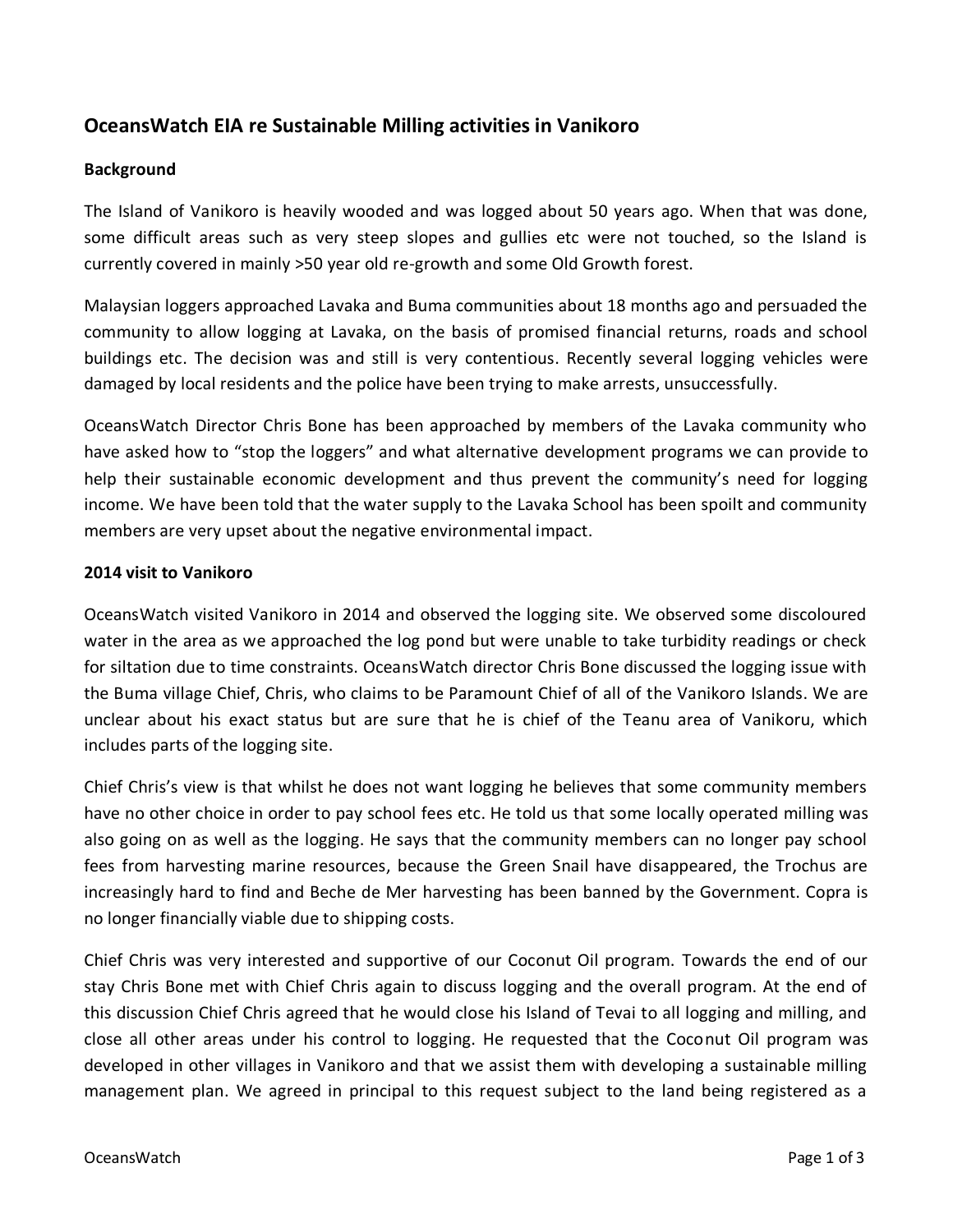# **OceansWatch EIA re Sustainable Milling activities in Vanikoro**

### **Background**

The Island of Vanikoro is heavily wooded and was logged about 50 years ago. When that was done, some difficult areas such as very steep slopes and gullies etc were not touched, so the Island is currently covered in mainly >50 year old re-growth and some Old Growth forest.

Malaysian loggers approached Lavaka and Buma communities about 18 months ago and persuaded the community to allow logging at Lavaka, on the basis of promised financial returns, roads and school buildings etc. The decision was and still is very contentious. Recently several logging vehicles were damaged by local residents and the police have been trying to make arrests, unsuccessfully.

OceansWatch Director Chris Bone has been approached by members of the Lavaka community who have asked how to "stop the loggers" and what alternative development programs we can provide to help their sustainable economic development and thus prevent the community's need for logging income. We have been told that the water supply to the Lavaka School has been spoilt and community members are very upset about the negative environmental impact.

#### **2014 visit to Vanikoro**

OceansWatch visited Vanikoro in 2014 and observed the logging site. We observed some discoloured water in the area as we approached the log pond but were unable to take turbidity readings or check for siltation due to time constraints. OceansWatch director Chris Bone discussed the logging issue with the Buma village Chief, Chris, who claims to be Paramount Chief of all of the Vanikoro Islands. We are unclear about his exact status but are sure that he is chief of the Teanu area of Vanikoru, which includes parts of the logging site.

Chief Chris's view is that whilst he does not want logging he believes that some community members have no other choice in order to pay school fees etc. He told us that some locally operated milling was also going on as well as the logging. He says that the community members can no longer pay school fees from harvesting marine resources, because the Green Snail have disappeared, the Trochus are increasingly hard to find and Beche de Mer harvesting has been banned by the Government. Copra is no longer financially viable due to shipping costs.

Chief Chris was very interested and supportive of our Coconut Oil program. Towards the end of our stay Chris Bone met with Chief Chris again to discuss logging and the overall program. At the end of this discussion Chief Chris agreed that he would close his Island of Tevai to all logging and milling, and close all other areas under his control to logging. He requested that the Coconut Oil program was developed in other villages in Vanikoro and that we assist them with developing a sustainable milling management plan. We agreed in principal to this request subject to the land being registered as a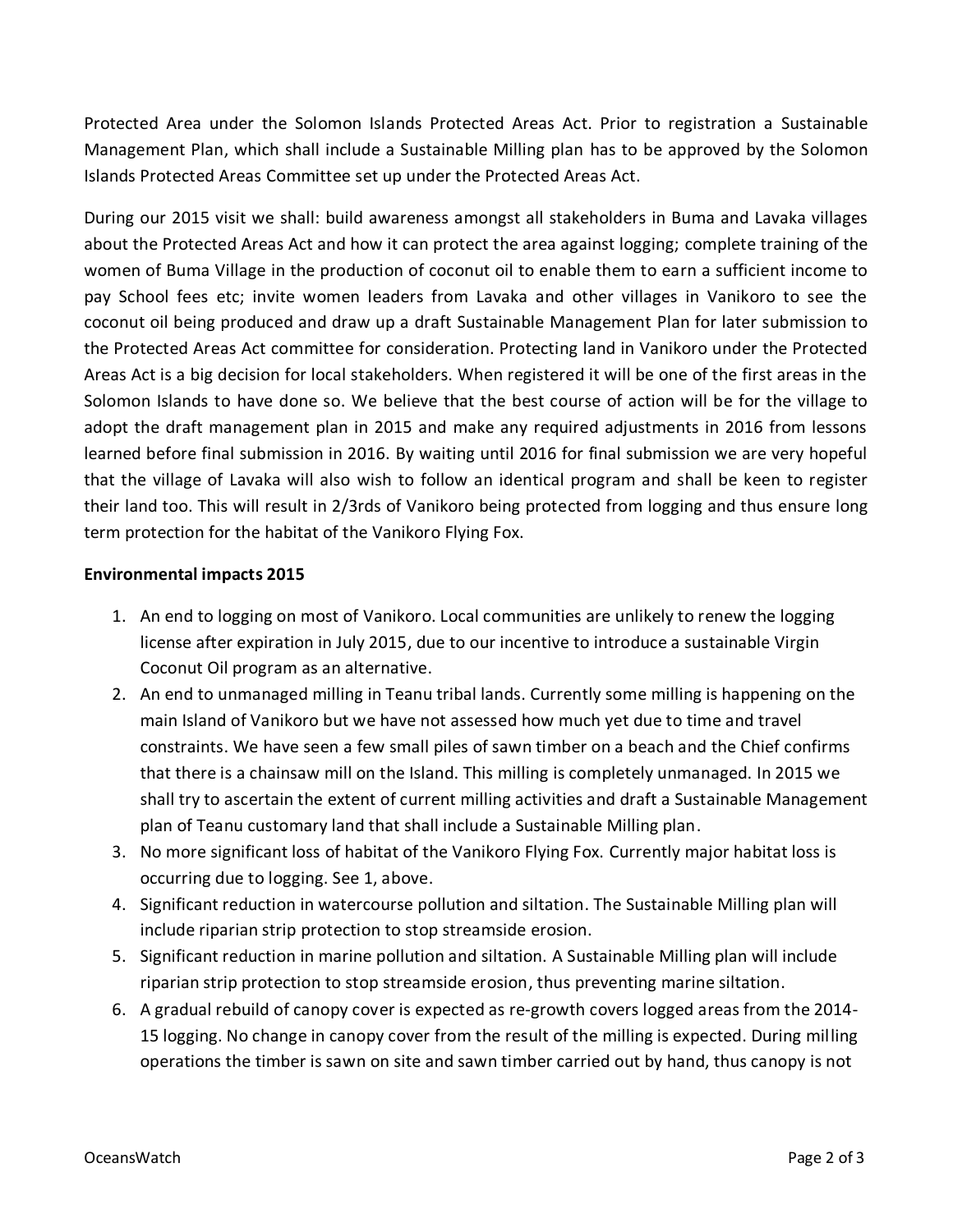Protected Area under the Solomon Islands Protected Areas Act. Prior to registration a Sustainable Management Plan, which shall include a Sustainable Milling plan has to be approved by the Solomon Islands Protected Areas Committee set up under the Protected Areas Act.

During our 2015 visit we shall: build awareness amongst all stakeholders in Buma and Lavaka villages about the Protected Areas Act and how it can protect the area against logging; complete training of the women of Buma Village in the production of coconut oil to enable them to earn a sufficient income to pay School fees etc; invite women leaders from Lavaka and other villages in Vanikoro to see the coconut oil being produced and draw up a draft Sustainable Management Plan for later submission to the Protected Areas Act committee for consideration. Protecting land in Vanikoro under the Protected Areas Act is a big decision for local stakeholders. When registered it will be one of the first areas in the Solomon Islands to have done so. We believe that the best course of action will be for the village to adopt the draft management plan in 2015 and make any required adjustments in 2016 from lessons learned before final submission in 2016. By waiting until 2016 for final submission we are very hopeful that the village of Lavaka will also wish to follow an identical program and shall be keen to register their land too. This will result in 2/3rds of Vanikoro being protected from logging and thus ensure long term protection for the habitat of the Vanikoro Flying Fox.

# **Environmental impacts 2015**

- 1. An end to logging on most of Vanikoro. Local communities are unlikely to renew the logging license after expiration in July 2015, due to our incentive to introduce a sustainable Virgin Coconut Oil program as an alternative.
- 2. An end to unmanaged milling in Teanu tribal lands. Currently some milling is happening on the main Island of Vanikoro but we have not assessed how much yet due to time and travel constraints. We have seen a few small piles of sawn timber on a beach and the Chief confirms that there is a chainsaw mill on the Island. This milling is completely unmanaged. In 2015 we shall try to ascertain the extent of current milling activities and draft a Sustainable Management plan of Teanu customary land that shall include a Sustainable Milling plan.
- 3. No more significant loss of habitat of the Vanikoro Flying Fox. Currently major habitat loss is occurring due to logging. See 1, above.
- 4. Significant reduction in watercourse pollution and siltation. The Sustainable Milling plan will include riparian strip protection to stop streamside erosion.
- 5. Significant reduction in marine pollution and siltation. A Sustainable Milling plan will include riparian strip protection to stop streamside erosion, thus preventing marine siltation.
- 6. A gradual rebuild of canopy cover is expected as re-growth covers logged areas from the 2014- 15 logging. No change in canopy cover from the result of the milling is expected. During milling operations the timber is sawn on site and sawn timber carried out by hand, thus canopy is not